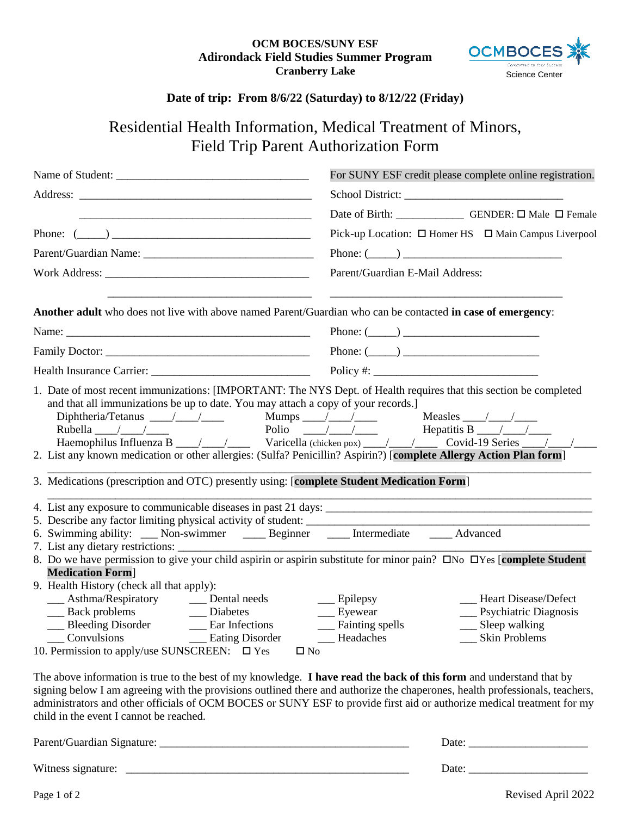## **OCM BOCES/SUNY ESF Adirondack Field Studies Summer Program Cranberry Lake**



## **Date of trip: From 8/6/22 (Saturday) to 8/12/22 (Friday)**

## Residential Health Information, Medical Treatment of Minors, Field Trip Parent Authorization Form

|                                                                                                                                                                                                                                                                                                                                 | For SUNY ESF credit please complete online registration.                                                                                                                                                                                                                                                                                                                                                                    |
|---------------------------------------------------------------------------------------------------------------------------------------------------------------------------------------------------------------------------------------------------------------------------------------------------------------------------------|-----------------------------------------------------------------------------------------------------------------------------------------------------------------------------------------------------------------------------------------------------------------------------------------------------------------------------------------------------------------------------------------------------------------------------|
|                                                                                                                                                                                                                                                                                                                                 |                                                                                                                                                                                                                                                                                                                                                                                                                             |
|                                                                                                                                                                                                                                                                                                                                 | Date of Birth: _____________ GENDER: □ Male □ Female                                                                                                                                                                                                                                                                                                                                                                        |
| Phone: $(\_\_)$                                                                                                                                                                                                                                                                                                                 | Pick-up Location: □ Homer HS □ Main Campus Liverpool                                                                                                                                                                                                                                                                                                                                                                        |
|                                                                                                                                                                                                                                                                                                                                 | Phone: $(\_\_)$                                                                                                                                                                                                                                                                                                                                                                                                             |
|                                                                                                                                                                                                                                                                                                                                 | Parent/Guardian E-Mail Address:                                                                                                                                                                                                                                                                                                                                                                                             |
| Another adult who does not live with above named Parent/Guardian who can be contacted in case of emergency:                                                                                                                                                                                                                     |                                                                                                                                                                                                                                                                                                                                                                                                                             |
|                                                                                                                                                                                                                                                                                                                                 | Phone: $(\_\_)$                                                                                                                                                                                                                                                                                                                                                                                                             |
|                                                                                                                                                                                                                                                                                                                                 | Phone: $(\_\_)$                                                                                                                                                                                                                                                                                                                                                                                                             |
|                                                                                                                                                                                                                                                                                                                                 |                                                                                                                                                                                                                                                                                                                                                                                                                             |
| 2. List any known medication or other allergies: (Sulfa? Penicillin? Aspirin?) [complete Allergy Action Plan form]<br>3. Medications (prescription and OTC) presently using: [complete Student Medication Form]<br>6. Swimming ability: ___ Non-swimmer ____ Beginner ____ Intermediate ____ Advanced<br><b>Medication Form</b> | 7. List any dietary restrictions: $\frac{1}{100}$<br>8. Do we have permission to give your child aspirin or aspirin substitute for minor pain? $\Box$ No $\Box$ Yes [complete Student                                                                                                                                                                                                                                       |
| 9. Health History (check all that apply):<br>__ Asthma/Respiratory __ Dental needs<br>__ Back problems ___ Diabetes<br>Bleeding Disorder ______ Ear Infections<br>Leadaches Leadaches Leadaches<br>Convulsions<br>10. Permission to apply/use SUNSCREEN: $\square$ Yes                                                          | __ Heart Disease/Defect<br>$\equiv$ Epilepsy<br>__ Psychiatric Diagnosis<br>__ Eyewear<br>__ Fainting spells<br>__ Sleep walking<br>__ Skin Problems<br>$\square$ No<br>The above information is true to the best of my knowledge. I have read the back of this form and understand that by<br>signing below I am agreeing with the provisions outlined there and authorize the chaperones, health professionals, teachers, |
| child in the event I cannot be reached.                                                                                                                                                                                                                                                                                         | administrators and other officials of OCM BOCES or SUNY ESF to provide first aid or authorize medical treatment for my                                                                                                                                                                                                                                                                                                      |
|                                                                                                                                                                                                                                                                                                                                 |                                                                                                                                                                                                                                                                                                                                                                                                                             |
|                                                                                                                                                                                                                                                                                                                                 |                                                                                                                                                                                                                                                                                                                                                                                                                             |